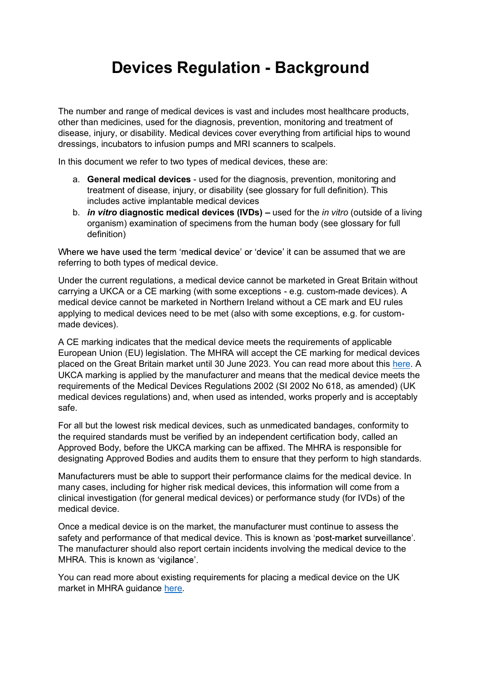## Devices Regulation - Background

The number and range of medical devices is vast and includes most healthcare products, other than medicines, used for the diagnosis, prevention, monitoring and treatment of disease, injury, or disability. Medical devices cover everything from artificial hips to wound dressings, incubators to infusion pumps and MRI scanners to scalpels.

In this document we refer to two types of medical devices, these are:

- a. General medical devices used for the diagnosis, prevention, monitoring and treatment of disease, injury, or disability (see glossary for full definition). This includes active implantable medical devices
- b. *in vitro* diagnostic medical devices (IVDs) used for the *in vitro* (outside of a living organism) examination of specimens from the human body (see glossary for full definition)

Where we have used the term 'medical device' or 'device' it can be assumed that we are referring to both types of medical device.

Under the current regulations, a medical device cannot be marketed in Great Britain without carrying a UKCA or a CE marking (with some exceptions - e.g. custom-made devices). A medical device cannot be marketed in Northern Ireland without a CE mark and EU rules applying to medical devices need to be met (also with some exceptions, e.g. for custommade devices).

A CE marking indicates that the medical device meets the requirements of applicable European Union (EU) legislation. The MHRA will accept the CE marking for medical devices placed on the Great Britain market until 30 June 2023. You can read more about this here. A UKCA marking is applied by the manufacturer and means that the medical device meets the requirements of the Medical Devices Regulations 2002 (SI 2002 No 618, as amended) (UK medical devices regulations) and, when used as intended, works properly and is acceptably safe.

For all but the lowest risk medical devices, such as unmedicated bandages, conformity to the required standards must be verified by an independent certification body, called an Approved Body, before the UKCA marking can be affixed. The MHRA is responsible for designating Approved Bodies and audits them to ensure that they perform to high standards.

Manufacturers must be able to support their performance claims for the medical device. In many cases, including for higher risk medical devices, this information will come from a clinical investigation (for general medical devices) or performance study (for IVDs) of the medical device.

Once a medical device is on the market, the manufacturer must continue to assess the safety and performance of that medical device. This is known as 'post-market surveillance'. The manufacturer should also report certain incidents involving the medical device to the MHRA. This is known as 'vigilance'.

You can read more about existing requirements for placing a medical device on the UK market in MHRA guidance here.